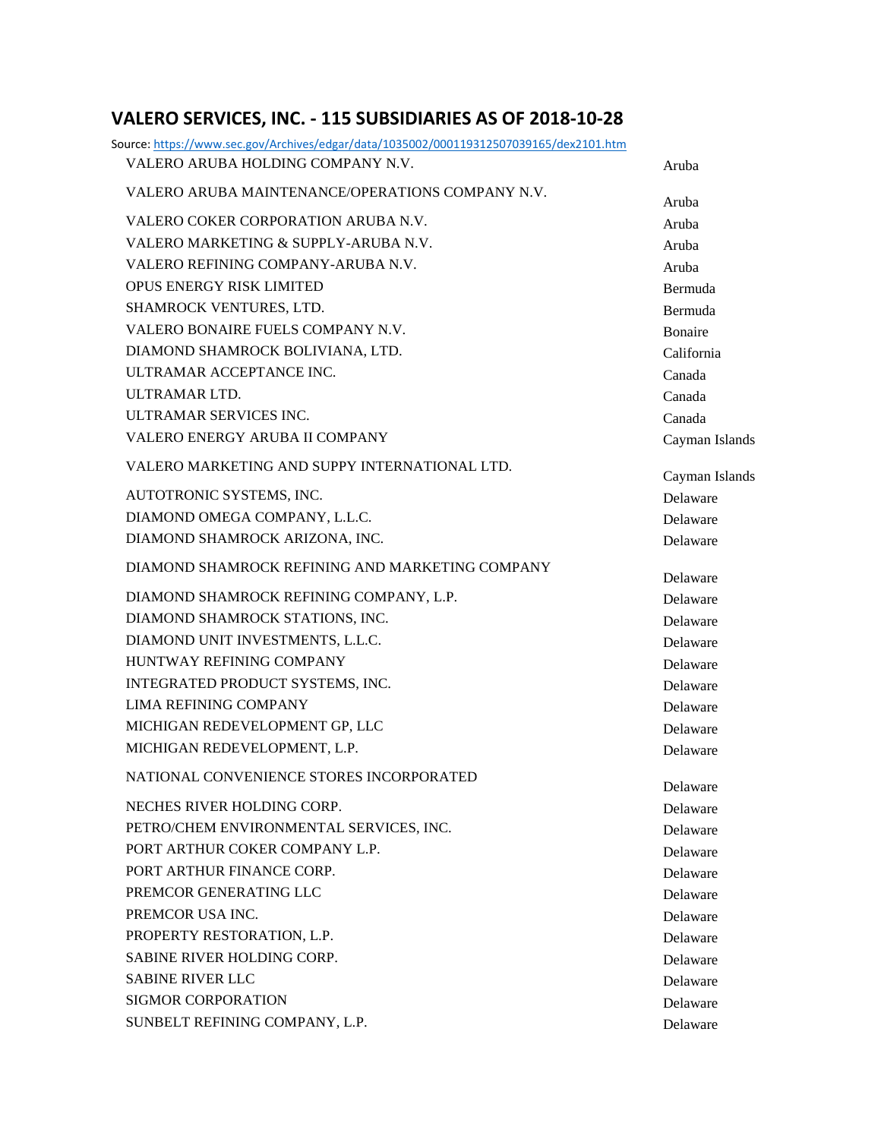## **VALERO SERVICES, INC. - 115 SUBSIDIARIES AS OF 2018-10-28**

| Source: https://www.sec.gov/Archives/edgar/data/1035002/000119312507039165/dex2101.htm |                            |
|----------------------------------------------------------------------------------------|----------------------------|
| VALERO ARUBA HOLDING COMPANY N.V.                                                      | Aruba                      |
| VALERO ARUBA MAINTENANCE/OPERATIONS COMPANY N.V.                                       | Aruba                      |
| VALERO COKER CORPORATION ARUBA N.V.                                                    | Aruba                      |
| VALERO MARKETING & SUPPLY-ARUBA N.V.                                                   | Aruba                      |
| VALERO REFINING COMPANY-ARUBA N.V.                                                     | Aruba                      |
| <b>OPUS ENERGY RISK LIMITED</b>                                                        | Bermuda                    |
| SHAMROCK VENTURES, LTD.                                                                | Bermuda                    |
| VALERO BONAIRE FUELS COMPANY N.V.                                                      | Bonaire                    |
| DIAMOND SHAMROCK BOLIVIANA, LTD.                                                       | California                 |
| ULTRAMAR ACCEPTANCE INC.                                                               | Canada                     |
| ULTRAMAR LTD.                                                                          | Canada                     |
| ULTRAMAR SERVICES INC.                                                                 | Canada                     |
| VALERO ENERGY ARUBA II COMPANY                                                         | Cayman Islands             |
| VALERO MARKETING AND SUPPY INTERNATIONAL LTD.                                          |                            |
| AUTOTRONIC SYSTEMS, INC.                                                               | Cayman Islands<br>Delaware |
| DIAMOND OMEGA COMPANY, L.L.C.                                                          |                            |
| DIAMOND SHAMROCK ARIZONA, INC.                                                         | Delaware                   |
|                                                                                        | Delaware                   |
| DIAMOND SHAMROCK REFINING AND MARKETING COMPANY                                        | Delaware                   |
| DIAMOND SHAMROCK REFINING COMPANY, L.P.                                                | Delaware                   |
| DIAMOND SHAMROCK STATIONS, INC.                                                        | Delaware                   |
| DIAMOND UNIT INVESTMENTS, L.L.C.                                                       | Delaware                   |
| HUNTWAY REFINING COMPANY                                                               | Delaware                   |
| INTEGRATED PRODUCT SYSTEMS, INC.                                                       | Delaware                   |
| <b>LIMA REFINING COMPANY</b>                                                           | Delaware                   |
| MICHIGAN REDEVELOPMENT GP, LLC                                                         | Delaware                   |
| MICHIGAN REDEVELOPMENT, L.P.                                                           | Delaware                   |
| NATIONAL CONVENIENCE STORES INCORPORATED                                               | Delaware                   |
| NECHES RIVER HOLDING CORP.                                                             | Delaware                   |
| PETRO/CHEM ENVIRONMENTAL SERVICES, INC.                                                | Delaware                   |
| PORT ARTHUR COKER COMPANY L.P.                                                         | Delaware                   |
| PORT ARTHUR FINANCE CORP.                                                              | Delaware                   |
| PREMCOR GENERATING LLC                                                                 | Delaware                   |
| PREMCOR USA INC.                                                                       | Delaware                   |
| PROPERTY RESTORATION, L.P.                                                             | Delaware                   |
| SABINE RIVER HOLDING CORP.                                                             | Delaware                   |
| <b>SABINE RIVER LLC</b>                                                                | Delaware                   |
| <b>SIGMOR CORPORATION</b>                                                              | Delaware                   |
| SUNBELT REFINING COMPANY, L.P.                                                         | Delaware                   |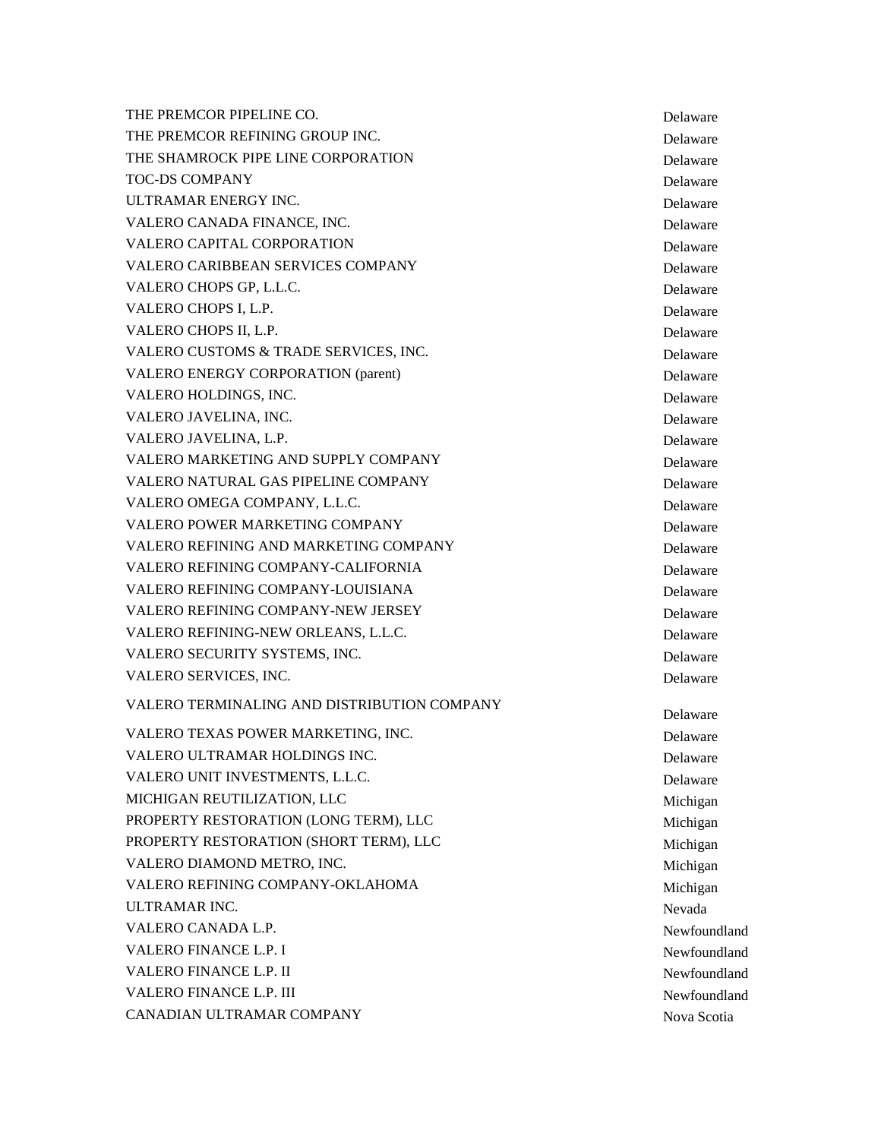THE PREMCOR PIPELINE CO. THE PREMCOR REFINING GROUP INC. THE SHAMROCK PIPE LINE CORPORATION Delaware TOC-DS COMPANY Delaware ULTRAMAR ENERGY INC. VALERO CANADA FINANCE, INC. VALERO CAPITAL CORPORATION **DELAY ASSESSED ASSESSED ASSESS** VALERO CARIBBEAN SERVICES COMPANY Delaware VALERO CHOPS GP, L.L.C. VALERO CHOPS I, L.P. VALERO CHOPS II, L.P. VALERO CUSTOMS & TRADE SERVICES, INC. VALERO ENERGY CORPORATION (parent) Delaware VALERO HOLDINGS, INC. VALERO JAVELINA, INC. VALERO JAVELINA, L.P. VALERO MARKETING AND SUPPLY COMPANY **Example 20** Delaware VALERO NATURAL GAS PIPELINE COMPANY Delaware VALERO OMEGA COMPANY, L.L.C. VALERO POWER MARKETING COMPANY **Subset of the COMPANY** Delaware VALERO REFINING AND MARKETING COMPANY Delaware VALERO REFINING COMPANY-CALIFORNIA Delaware VALERO REFINING COMPANY-LOUISIANA Delaware VALERO REFINING COMPANY-NEW JERSEY Delaware VALERO REFINING-NEW ORLEANS, L.L.C. VALERO SECURITY SYSTEMS, INC. VALERO SERVICES, INC. VALERO TERMINALING AND DISTRIBUTION COMPANY VALERO TEXAS POWER MARKETING, INC. VALERO ULTRAMAR HOLDINGS INC. VALERO UNIT INVESTMENTS, L.L.C. MICHIGAN REUTILIZATION, LLC<br>
Michigan PROPERTY RESTORATION (LONG TERM), LLC Michigan PROPERTY RESTORATION (SHORT TERM), LLC Michigan VALERO DIAMOND METRO, INC. VALERO REFINING COMPANY-OKLAHOMA Michigan

 Delaware Delaware Delaware Delaware Delaware Delaware Delaware Delaware Delaware Delaware Delaware Michigan Nevada Newfoundland

Delaware

Delaware

Delaware

Delaware

Delaware

Delaware

Delaware

Delaware

ULTRAMAR INC. VALERO CANADA L.P. VALERO FINANCE L.P. I Newfoundland VALERO FINANCE L.P. II Newfoundland

VALERO FINANCE L.P. III Newfoundland

CANADIAN ULTRAMAR COMPANY Nova Scotia